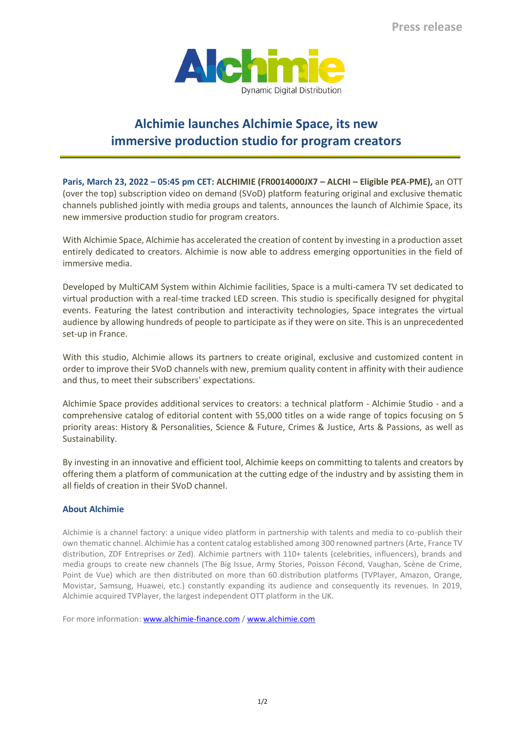

## **Alchimie launches Alchimie Space, its new immersive production studio for program creators**

**Paris, March 23, 2022 – 05:45 pm CET: ALCHIMIE (FR0014000JX7 – ALCHI – Eligible PEA-PME),** an OTT (over the top) subscription video on demand (SVoD) platform featuring original and exclusive thematic channels published jointly with media groups and talents, announces the launch of Alchimie Space, its new immersive production studio for program creators.

With Alchimie Space, Alchimie has accelerated the creation of content by investing in a production asset entirely dedicated to creators. Alchimie is now able to address emerging opportunities in the field of immersive media.

Developed by MultiCAM System within Alchimie facilities, Space is a multi-camera TV set dedicated to virtual production with a real-time tracked LED screen. This studio is specifically designed for phygital events. Featuring the latest contribution and interactivity technologies, Space integrates the virtual audience by allowing hundreds of people to participate as if they were on site. This is an unprecedented set-up in France.

With this studio, Alchimie allows its partners to create original, exclusive and customized content in order to improve their SVoD channels with new, premium quality content in affinity with their audience and thus, to meet their subscribers' expectations.

Alchimie Space provides additional services to creators: a technical platform - Alchimie Studio - and a comprehensive catalog of editorial content with 55,000 titles on a wide range of topics focusing on 5 priority areas: History & Personalities, Science & Future, Crimes & Justice, Arts & Passions, as well as Sustainability.

By investing in an innovative and efficient tool, Alchimie keeps on committing to talents and creators by offering them a platform of communication at the cutting edge of the industry and by assisting them in all fields of creation in their SVoD channel.

## **About Alchimie**

Alchimie is a channel factory: a unique video platform in partnership with talents and media to co-publish their own thematic channel. Alchimie has a content catalog established among 300 renowned partners (Arte, France TV distribution, ZDF Entreprises or Zed). Alchimie partners with 110+ talents (celebrities, influencers), brands and media groups to create new channels (The Big Issue, Army Stories, Poisson Fécond, Vaughan, Scène de Crime, Point de Vue) which are then distributed on more than 60 distribution platforms (TVPlayer, Amazon, Orange, Movistar, Samsung, Huawei, etc.) constantly expanding its audience and consequently its revenues. In 2019, Alchimie acquired TVPlayer, the largest independent OTT platform in the UK.

For more information: [www.alchimie-finance.com](http://www.alchimie-finance.com/) / [www.alchimie.com](http://www.alchimie.com/)